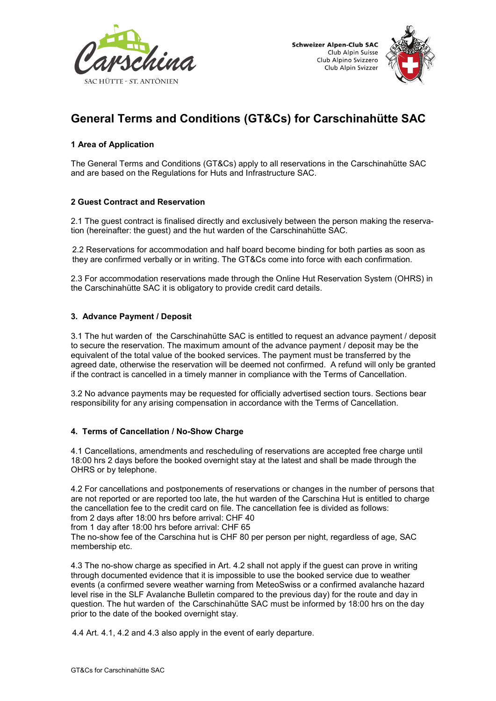



# General Terms and Conditions (GT&Cs) for Carschinahütte SAC

## 1 Area of Application

The General Terms and Conditions (GT&Cs) apply to all reservations in the Carschinahütte SAC and are based on the Regulations for Huts and Infrastructure SAC.

## 2 Guest Contract and Reservation

2.1 The guest contract is finalised directly and exclusively between the person making the reservation (hereinafter: the guest) and the hut warden of the Carschinahütte SAC.

2.2 Reservations for accommodation and half board become binding for both parties as soon as they are confirmed verbally or in writing. The GT&Cs come into force with each confirmation.

2.3 For accommodation reservations made through the Online Hut Reservation System (OHRS) in the Carschinahütte SAC it is obligatory to provide credit card details.

## 3. Advance Payment / Deposit

3.1 The hut warden of the Carschinahütte SAC is entitled to request an advance payment / deposit to secure the reservation. The maximum amount of the advance payment / deposit may be the equivalent of the total value of the booked services. The payment must be transferred by the agreed date, otherwise the reservation will be deemed not confirmed. A refund will only be granted if the contract is cancelled in a timely manner in compliance with the Terms of Cancellation.

3.2 No advance payments may be requested for officially advertised section tours. Sections bear responsibility for any arising compensation in accordance with the Terms of Cancellation.

## 4. Terms of Cancellation / No-Show Charge

4.1 Cancellations, amendments and rescheduling of reservations are accepted free charge until 18:00 hrs 2 days before the booked overnight stay at the latest and shall be made through the OHRS or by telephone.

4.2 For cancellations and postponements of reservations or changes in the number of persons that are not reported or are reported too late, the hut warden of the Carschina Hut is entitled to charge the cancellation fee to the credit card on file. The cancellation fee is divided as follows: from 2 days after 18:00 hrs before arrival: CHF 40

from 1 day after 18:00 hrs before arrival: CHF 65

The no-show fee of the Carschina hut is CHF 80 per person per night, regardless of age, SAC membership etc.

4.3 The no-show charge as specified in Art. 4.2 shall not apply if the guest can prove in writing through documented evidence that it is impossible to use the booked service due to weather events (a confirmed severe weather warning from MeteoSwiss or a confirmed avalanche hazard level rise in the SLF Avalanche Bulletin compared to the previous day) for the route and day in question. The hut warden of the Carschinahütte SAC must be informed by 18:00 hrs on the day prior to the date of the booked overnight stay.

4.4 Art. 4.1, 4.2 and 4.3 also apply in the event of early departure.